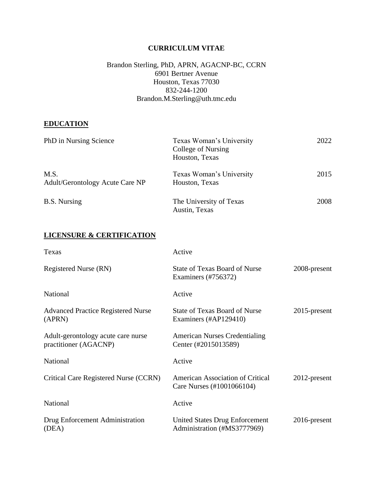## **CURRICULUM VITAE**

## Brandon Sterling, PhD, APRN, AGACNP-BC, CCRN 6901 Bertner Avenue Houston, Texas 77030 832-244-1200 Brandon.M.Sterling@uth.tmc.edu

#### **EDUCATION**

| PhD in Nursing Science                  | Texas Woman's University<br>College of Nursing<br>Houston, Texas | 2022 |
|-----------------------------------------|------------------------------------------------------------------|------|
| M.S.<br>Adult/Gerontology Acute Care NP | Texas Woman's University<br>Houston, Texas                       | 2015 |
| <b>B.S.</b> Nursing                     | The University of Texas<br>Austin, Texas                         | 2008 |

# **LICENSURE & CERTIFICATION**

| Texas                                                       | Active                                                               |                 |
|-------------------------------------------------------------|----------------------------------------------------------------------|-----------------|
| Registered Nurse (RN)                                       | <b>State of Texas Board of Nurse</b><br>Examiners (#756372)          | 2008-present    |
| <b>National</b>                                             | Active                                                               |                 |
| <b>Advanced Practice Registered Nurse</b><br>(APRN)         | <b>State of Texas Board of Nurse</b><br>Examiners (#AP129410)        | $2015$ -present |
| Adult-gerontology acute care nurse<br>practitioner (AGACNP) | <b>American Nurses Credentialing</b><br>Center (#2015013589)         |                 |
| National                                                    | Active                                                               |                 |
| Critical Care Registered Nurse (CCRN)                       | <b>American Association of Critical</b><br>Care Nurses (#1001066104) | $2012$ -present |
| National                                                    | Active                                                               |                 |
| Drug Enforcement Administration<br>(DEA)                    | <b>United States Drug Enforcement</b><br>Administration (#MS3777969) | $2016$ -present |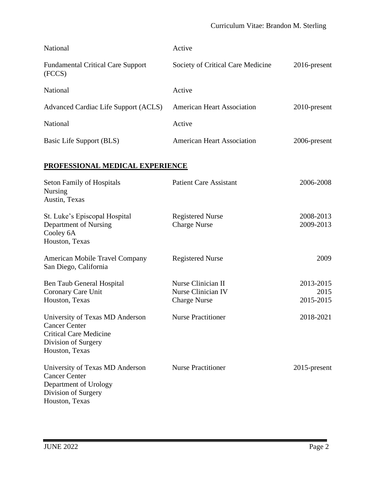| <b>National</b>                                    | Active                            |                 |
|----------------------------------------------------|-----------------------------------|-----------------|
| <b>Fundamental Critical Care Support</b><br>(FCCS) | Society of Critical Care Medicine | $2016$ -present |
| <b>National</b>                                    | Active                            |                 |
| Advanced Cardiac Life Support (ACLS)               | <b>American Heart Association</b> | 2010-present    |
| <b>National</b>                                    | Active                            |                 |
| Basic Life Support (BLS)                           | <b>American Heart Association</b> | 2006-present    |
| DDAEEGGIANAL MEDICAL EVDEDIEMAE                    |                                   |                 |

## **PROFESSIONAL MEDICAL EXPERIENCE**

| <b>Seton Family of Hospitals</b><br><b>Nursing</b><br>Austin, Texas                                                               | <b>Patient Care Assistant</b>                  | 2006-2008              |
|-----------------------------------------------------------------------------------------------------------------------------------|------------------------------------------------|------------------------|
| St. Luke's Episcopal Hospital<br>Department of Nursing<br>Cooley 6A<br>Houston, Texas                                             | <b>Registered Nurse</b><br><b>Charge Nurse</b> | 2008-2013<br>2009-2013 |
| <b>American Mobile Travel Company</b><br>San Diego, California                                                                    | <b>Registered Nurse</b>                        | 2009                   |
| <b>Ben Taub General Hospital</b>                                                                                                  | Nurse Clinician II                             | 2013-2015              |
| Coronary Care Unit                                                                                                                | Nurse Clinician IV                             | 2015                   |
| Houston, Texas                                                                                                                    | <b>Charge Nurse</b>                            | 2015-2015              |
| University of Texas MD Anderson<br><b>Cancer Center</b><br><b>Critical Care Medicine</b><br>Division of Surgery<br>Houston, Texas | <b>Nurse Practitioner</b>                      | 2018-2021              |
| University of Texas MD Anderson<br><b>Cancer Center</b><br>Department of Urology<br>Division of Surgery<br>Houston, Texas         | <b>Nurse Practitioner</b>                      | $2015$ -present        |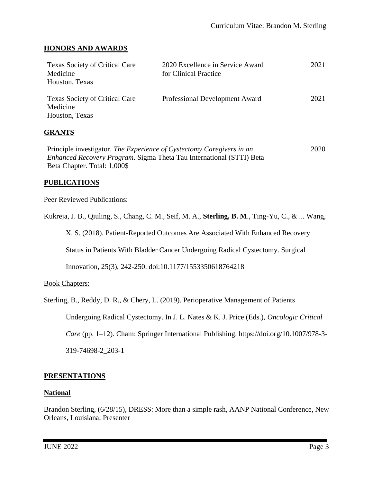## **HONORS AND AWARDS**

| <b>Texas Society of Critical Care</b><br>Medicine<br>Houston, Texas | 2020 Excellence in Service Award<br>for Clinical Practice | 2021 |
|---------------------------------------------------------------------|-----------------------------------------------------------|------|
| <b>Texas Society of Critical Care</b><br>Medicine<br>Houston, Texas | Professional Development Award                            | 2021 |

## **GRANTS**

Principle investigator. *The Experience of Cystectomy Caregivers in an Enhanced Recovery Program.* Sigma Theta Tau International (STTI) Beta Beta Chapter. Total: 1,000\$ 2020

## **PUBLICATIONS**

#### Peer Reviewed Publications:

Kukreja, J. B., Qiuling, S., Chang, C. M., Seif, M. A., **Sterling, B. M**., Ting-Yu, C., & ... Wang,

X. S. (2018). Patient-Reported Outcomes Are Associated With Enhanced Recovery

Status in Patients With Bladder Cancer Undergoing Radical Cystectomy. Surgical

Innovation, 25(3), 242-250. doi:10.1177/1553350618764218

## Book Chapters:

Sterling, B., Reddy, D. R., & Chery, L. (2019). Perioperative Management of Patients

Undergoing Radical Cystectomy. In J. L. Nates & K. J. Price (Eds.), *Oncologic Critical* 

*Care* (pp. 1–12). Cham: Springer International Publishing. https://doi.org/10.1007/978-3-

319-74698-2\_203-1

## **PRESENTATIONS**

## **National**

Brandon Sterling, (6/28/15), DRESS: More than a simple rash, AANP National Conference, New Orleans, Louisiana, Presenter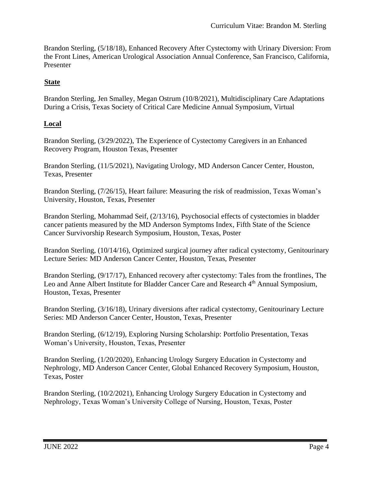Brandon Sterling, (5/18/18), Enhanced Recovery After Cystectomy with Urinary Diversion: From the Front Lines, American Urological Association Annual Conference, San Francisco, California, Presenter

## **State**

Brandon Sterling, Jen Smalley, Megan Ostrum (10/8/2021), Multidisciplinary Care Adaptations During a Crisis, Texas Society of Critical Care Medicine Annual Symposium, Virtual

## **Local**

Brandon Sterling, (3/29/2022), The Experience of Cystectomy Caregivers in an Enhanced Recovery Program, Houston Texas, Presenter

Brandon Sterling, (11/5/2021), Navigating Urology, MD Anderson Cancer Center, Houston, Texas, Presenter

Brandon Sterling, (7/26/15), Heart failure: Measuring the risk of readmission, Texas Woman's University, Houston, Texas, Presenter

Brandon Sterling, Mohammad Seif, (2/13/16), Psychosocial effects of cystectomies in bladder cancer patients measured by the MD Anderson Symptoms Index, Fifth State of the Science Cancer Survivorship Research Symposium, Houston, Texas, Poster

Brandon Sterling, (10/14/16), Optimized surgical journey after radical cystectomy, Genitourinary Lecture Series: MD Anderson Cancer Center, Houston, Texas, Presenter

Brandon Sterling, (9/17/17), Enhanced recovery after cystectomy: Tales from the frontlines, The Leo and Anne Albert Institute for Bladder Cancer Care and Research 4<sup>th</sup> Annual Symposium, Houston, Texas, Presenter

Brandon Sterling, (3/16/18), Urinary diversions after radical cystectomy, Genitourinary Lecture Series: MD Anderson Cancer Center, Houston, Texas, Presenter

Brandon Sterling, (6/12/19), Exploring Nursing Scholarship: Portfolio Presentation, Texas Woman's University, Houston, Texas, Presenter

Brandon Sterling, (1/20/2020), Enhancing Urology Surgery Education in Cystectomy and Nephrology, MD Anderson Cancer Center, Global Enhanced Recovery Symposium, Houston, Texas, Poster

Brandon Sterling, (10/2/2021), Enhancing Urology Surgery Education in Cystectomy and Nephrology, Texas Woman's University College of Nursing, Houston, Texas, Poster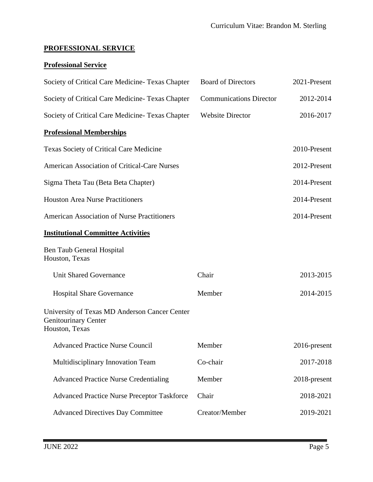# **PROFESSIONAL SERVICE**

# **Professional Service**

| Society of Critical Care Medicine-Texas Chapter                                                | <b>Board of Directors</b>      | 2021-Present    |
|------------------------------------------------------------------------------------------------|--------------------------------|-----------------|
| Society of Critical Care Medicine- Texas Chapter                                               | <b>Communications Director</b> | 2012-2014       |
| Society of Critical Care Medicine-Texas Chapter                                                | <b>Website Director</b>        | 2016-2017       |
| <b>Professional Memberships</b>                                                                |                                |                 |
| Texas Society of Critical Care Medicine                                                        |                                | 2010-Present    |
| <b>American Association of Critical-Care Nurses</b>                                            |                                | 2012-Present    |
| Sigma Theta Tau (Beta Beta Chapter)                                                            |                                | 2014-Present    |
| <b>Houston Area Nurse Practitioners</b>                                                        |                                | 2014-Present    |
| <b>American Association of Nurse Practitioners</b>                                             |                                | 2014-Present    |
| <b>Institutional Committee Activities</b>                                                      |                                |                 |
| Ben Taub General Hospital<br>Houston, Texas                                                    |                                |                 |
| <b>Unit Shared Governance</b>                                                                  | Chair                          | 2013-2015       |
| <b>Hospital Share Governance</b>                                                               | Member                         | 2014-2015       |
| University of Texas MD Anderson Cancer Center<br><b>Genitourinary Center</b><br>Houston, Texas |                                |                 |
| <b>Advanced Practice Nurse Council</b>                                                         | Member                         | $2016$ -present |
| Multidisciplinary Innovation Team                                                              | Co-chair                       | 2017-2018       |
| <b>Advanced Practice Nurse Credentialing</b>                                                   | Member                         | 2018-present    |
| <b>Advanced Practice Nurse Preceptor Taskforce</b>                                             | Chair                          | 2018-2021       |
| <b>Advanced Directives Day Committee</b>                                                       | Creator/Member                 | 2019-2021       |